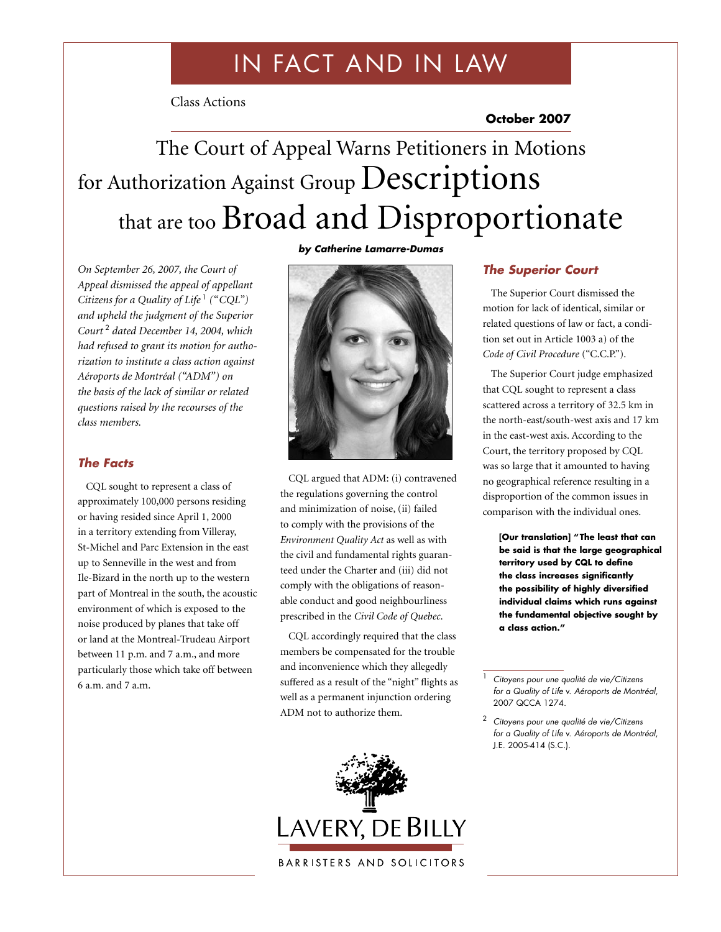# IN FACT AND IN LAW

Class Actions

**October 2007**

# The Court of Appeal Warns Petitioners in Motions for Authorization Against Group Descriptions that are too Broad and Disproportionate

*On September 26, 2007, the Court of Appeal dismissed the appeal of appellant Citizens for a Quality of Life*<sup>1</sup> ("CQL") *and upheld the judgment of the Superior Court* <sup>2</sup> *dated December 14, 2004, which had refused to grant its motion for authorization to institute a class action against Aéroports de Montréal ("ADM") on the basis of the lack of similar or related questions raised by the recourses of the class members.*

### *The Facts*

CQL sought to represent a class of approximately 100,000 persons residing or having resided since April 1, 2000 in a territory extending from Villeray, St-Michel and Parc Extension in the east up to Senneville in the west and from Ile-Bizard in the north up to the western part of Montreal in the south, the acoustic environment of which is exposed to the noise produced by planes that take off or land at the Montreal-Trudeau Airport between 11 p.m. and 7 a.m., and more particularly those which take off between 6 a.m. and 7 a.m.





CQL argued that ADM: (i) contravened the regulations governing the control and minimization of noise, (ii) failed to comply with the provisions of the *Environment Quality Act* as well as with the civil and fundamental rights guaranteed under the Charter and (iii) did not comply with the obligations of reasonable conduct and good neighbourliness prescribed in the *Civil Code of Quebec*.

CQL accordingly required that the class members be compensated for the trouble and inconvenience which they allegedly suffered as a result of the "night" flights as well as a permanent injunction ordering ADM not to authorize them.



#### *The Superior Court*

The Superior Court dismissed the motion for lack of identical, similar or related questions of law or fact, a condition set out in Article 1003 a) of the *Code of Civil Procedure* ("C.C.P.").

The Superior Court judge emphasized that CQL sought to represent a class scattered across a territory of 32.5 km in the north-east/south-west axis and 17 km in the east-west axis. According to the Court, the territory proposed by CQL was so large that it amounted to having no geographical reference resulting in a disproportion of the common issues in comparison with the individual ones.

**[Our translation] "The least that can be said is that the large geographical territory used by CQL to define the class increases significantly the possibility of highly diversified individual claims which runs against the fundamental objective sought by a class action."**

<sup>1</sup> *Citoyens pour une qualité de vie/Citizens for a Quality of Life* v. *Aéroports de Montréal*, 2007 QCCA 1274.

<sup>2</sup> *Citoyens pour une qualité de vie/Citizens for a Quality of Life* v. *Aéroports de Montréal*, J.E. 2005-414 (S.C.).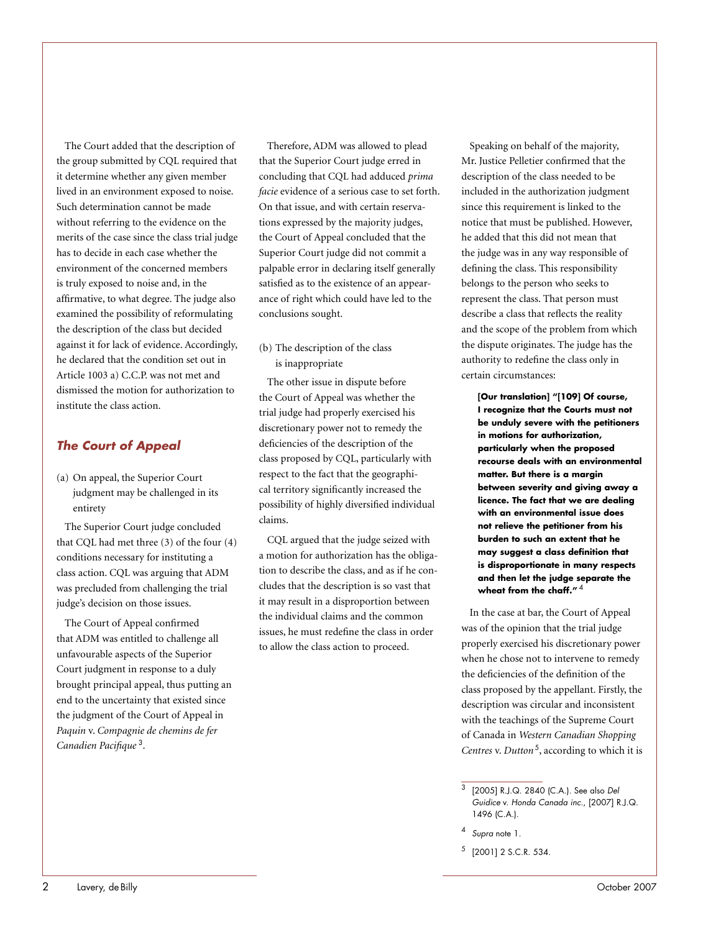The Court added that the description of the group submitted by CQL required that it determine whether any given member lived in an environment exposed to noise. Such determination cannot be made without referring to the evidence on the merits of the case since the class trial judge has to decide in each case whether the environment of the concerned members is truly exposed to noise and, in the affirmative, to what degree. The judge also examined the possibility of reformulating the description of the class but decided against it for lack of evidence. Accordingly, he declared that the condition set out in Article 1003 a) C.C.P. was not met and dismissed the motion for authorization to institute the class action.

# *The Court of Appeal*

(a) On appeal, the Superior Court judgment may be challenged in its entirety

The Superior Court judge concluded that CQL had met three (3) of the four (4) conditions necessary for instituting a class action. CQL was arguing that ADM was precluded from challenging the trial judge's decision on those issues.

The Court of Appeal confirmed that ADM was entitled to challenge all unfavourable aspects of the Superior Court judgment in response to a duly brought principal appeal, thus putting an end to the uncertainty that existed since the judgment of the Court of Appeal in *Paquin* v. *Compagnie de chemins de fer Canadien Pacifique* <sup>3</sup>.

Therefore, ADM was allowed to plead that the Superior Court judge erred in concluding that CQL had adduced *prima facie* evidence of a serious case to set forth. On that issue, and with certain reservations expressed by the majority judges, the Court of Appeal concluded that the Superior Court judge did not commit a palpable error in declaring itself generally satisfied as to the existence of an appearance of right which could have led to the conclusions sought.

(b) The description of the class is inappropriate

The other issue in dispute before the Court of Appeal was whether the trial judge had properly exercised his discretionary power not to remedy the deficiencies of the description of the class proposed by CQL, particularly with respect to the fact that the geographical territory significantly increased the possibility of highly diversified individual claims.

CQL argued that the judge seized with a motion for authorization has the obligation to describe the class, and as if he concludes that the description is so vast that it may result in a disproportion between the individual claims and the common issues, he must redefine the class in order to allow the class action to proceed.

Speaking on behalf of the majority, Mr. Justice Pelletier confirmed that the description of the class needed to be included in the authorization judgment since this requirement is linked to the notice that must be published. However, he added that this did not mean that the judge was in any way responsible of defining the class. This responsibility belongs to the person who seeks to represent the class. That person must describe a class that reflects the reality and the scope of the problem from which the dispute originates. The judge has the authority to redefine the class only in certain circumstances:

**[Our translation] "[109] Of course, I recognize that the Courts must not be unduly severe with the petitioners in motions for authorization, particularly when the proposed recourse deals with an environmental matter. But there is a margin between severity and giving away a licence. The fact that we are dealing with an environmental issue does not relieve the petitioner from his burden to such an extent that he may suggest a class definition that is disproportionate in many respects and then let the judge separate the wheat from the chaff."** <sup>4</sup>

In the case at bar, the Court of Appeal was of the opinion that the trial judge properly exercised his discretionary power when he chose not to intervene to remedy the deficiencies of the definition of the class proposed by the appellant. Firstly, the description was circular and inconsistent with the teachings of the Supreme Court of Canada in *Western Canadian Shopping Centres* v. *Dutton* <sup>5</sup>, according to which it is

<sup>4</sup> *Supra* note 1.

<sup>3</sup> [2005] R.J.Q. 2840 (C.A.). See also *Del Guidice* v. *Honda Canada inc.*, [2007] R.J.Q. 1496 (C.A.).

 $5$  [2001] 2 S.C.R. 534.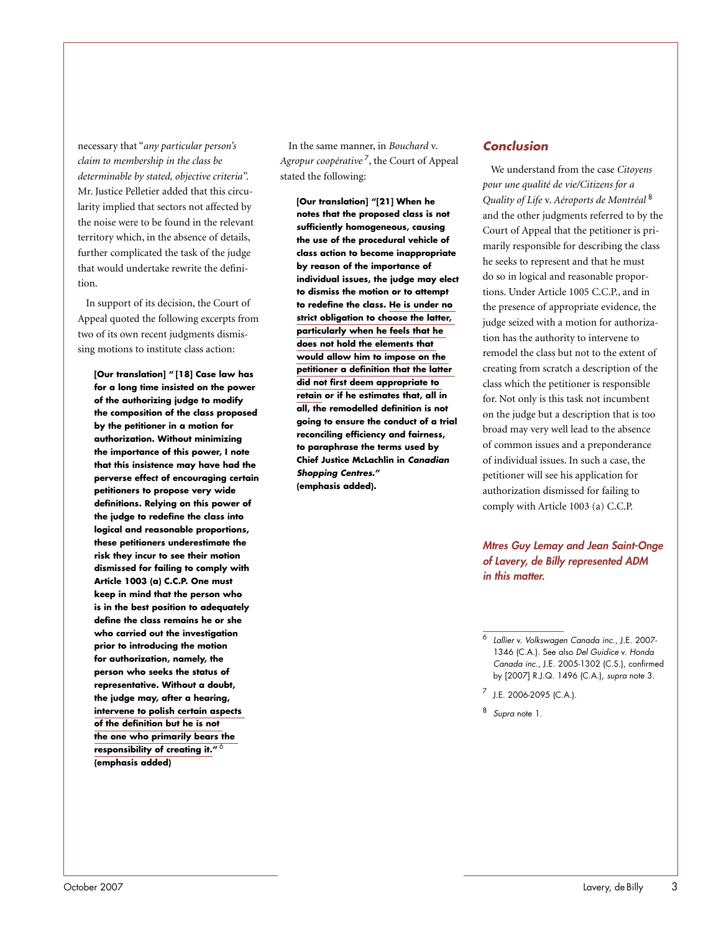necessary that "*any particular person's claim to membership in the class be determinable by stated, objective criteria*". Mr. Justice Pelletier added that this circularity implied that sectors not affected by the noise were to be found in the relevant territory which, in the absence of details, further complicated the task of the judge that would undertake rewrite the definition.

In support of its decision, the Court of Appeal quoted the following excerpts from two of its own recent judgments dismissing motions to institute class action:

**[Our translation] " [18] Case law has for a long time insisted on the power of the authorizing judge to modify the composition of the class proposed by the petitioner in a motion for authorization. Without minimizing the importance of this power, I note that this insistence may have had the perverse effect of encouraging certain petitioners to propose very wide definitions. Relying on this power of the judge to redefine the class into logical and reasonable proportions, these petitioners underestimate the risk they incur to see their motion dismissed for failing to comply with Article 1003 (a) C.C.P. One must keep in mind that the person who is in the best position to adequately define the class remains he or she who carried out the investigation prior to introducing the motion for authorization, namely, the person who seeks the status of representative. Without a doubt, the judge may, after a hearing, intervene to polish certain aspects of the definition but he is not the one who primarily bears the responsibility of creating it."** <sup>6</sup> **(emphasis added)** 

In the same manner, in *Bouchard* v. *Agropur coopérative* <sup>7</sup>, the Court of Appeal stated the following:

**[Our translation] "[21] When he notes that the proposed class is not sufficiently homogeneous, causing the use of the procedural vehicle of class action to become inappropriate by reason of the importance of individual issues, the judge may elect to dismiss the motion or to attempt to redefine the class. He is under no strict obligation to choose the latter, particularly when he feels that he does not hold the elements that would allow him to impose on the petitioner a definition that the latter did not first deem appropriate to retain or if he estimates that, all in all, the remodelled definition is not going to ensure the conduct of a trial reconciling efficiency and fairness, to paraphrase the terms used by Chief Justice McLachlin in** *Canadian Shopping Centres***." (emphasis added).**

### *Conclusion*

We understand from the case *Citoyens pour une qualité de vie/Citizens for a Quality of Life* v. *Aéroports de Montréal* <sup>8</sup> and the other judgments referred to by the Court of Appeal that the petitioner is primarily responsible for describing the class he seeks to represent and that he must do so in logical and reasonable proportions. Under Article 1005 C.C.P., and in the presence of appropriate evidence, the judge seized with a motion for authorization has the authority to intervene to remodel the class but not to the extent of creating from scratch a description of the class which the petitioner is responsible for. Not only is this task not incumbent on the judge but a description that is too broad may very well lead to the absence of common issues and a preponderance of individual issues. In such a case, the petitioner will see his application for authorization dismissed for failing to comply with Article 1003 (a) C.C.P.

*Mtres Guy Lemay and Jean Saint-Onge of Lavery, de Billy represented ADM in this matter.*

<sup>6</sup> *Lallier* v. *Volkswagen Canada inc.*, J.E. 2007- 1346 (C.A.). See also *Del Guidice* v. *Honda Canada inc.*, J.E. 2005-1302 (C.S.), confirmed by [2007] R.J.Q. 1496 (C.A.), *supra* note 3.

 $^7$  J.E. 2006-2095 (C.A.).

<sup>8</sup> *Supra* note 1.